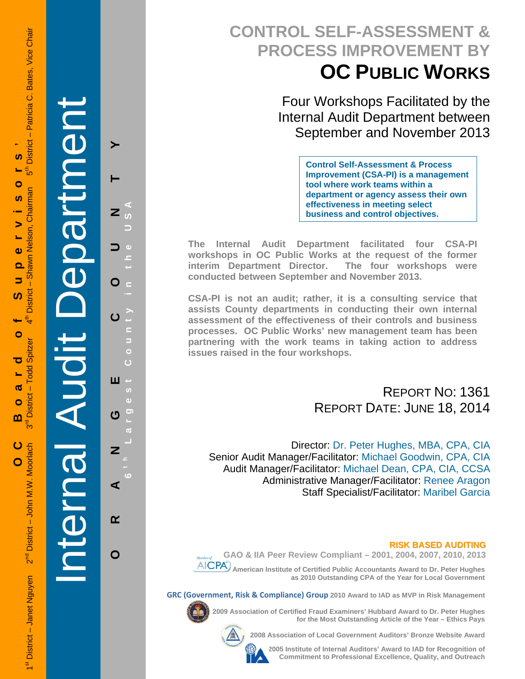# Internal Audit Department BULDS T

# **ORANGE COUNTY 6 t h Largest County in the USA**  Z  $\omega$  $\bigoplus$ O  $\mathbf C$ Ε  $\overline{C}$  $\overline{C}$ ш  $\overline{u}$  $\Phi$ U  $\sqrt{2}$ Z ⋖  $\alpha$ O

# **CONTROL SELF-ASSESSMENT & PROCESS IMPROVEMENT BY OC PUBLIC WORKS**

Four Workshops Facilitated by the Internal Audit Department between September and November 2013

> **Control Self-Assessment & Process Improvement (CSA-PI) is a management tool where work teams within a department or agency assess their own effectiveness in meeting select business and control objectives.**

**The Internal Audit Department facilitated four CSA-PI workshops in OC Public Works at the request of the former interim Department Director. The four workshops were conducted between September and November 2013.** 

**CSA-PI is not an audit; rather, it is a consulting service that assists County departments in conducting their own internal assessment of the effectiveness of their controls and business processes. OC Public Works' new management team has been partnering with the work teams in taking action to address issues raised in the four workshops.** 

# REPORT NO: 1361 REPORT DATE: JUNE 18, 2014

Director: Dr. Peter Hughes, MBA, CPA, CIA Senior Audit Manager/Facilitator: Michael Goodwin, CPA, CIA Audit Manager/Facilitator: Michael Dean, CPA, CIA, CCSA Administrative Manager/Facilitator: Renee Aragon Staff Specialist/Facilitator: Maribel Garcia

# **RISK BASED AUDITING**

 **GAO & IIA Peer Review Compliant – 2001, 2004, 2007, 2010, 2013** 

 **American Institute of Certified Public Accountants Award to Dr. Peter Hughes as 2010 Outstanding CPA of the Year for Local Government** 

**GRC (Government, Risk & Compliance) Group 2010 Award to IAD as MVP in Risk Management** 



**2009 Association of Certified Fraud Examiners' Hubbard Award to Dr. Peter Hughes for the Most Outstanding Article of the Year – Ethics Pays** 

**2008 Association of Local Government Auditors' Bronze Website Award** 



**2005 Institute of Internal Auditors' Award to IAD for Recognition of Commitment to Professional Excellence, Quality, and Outreach**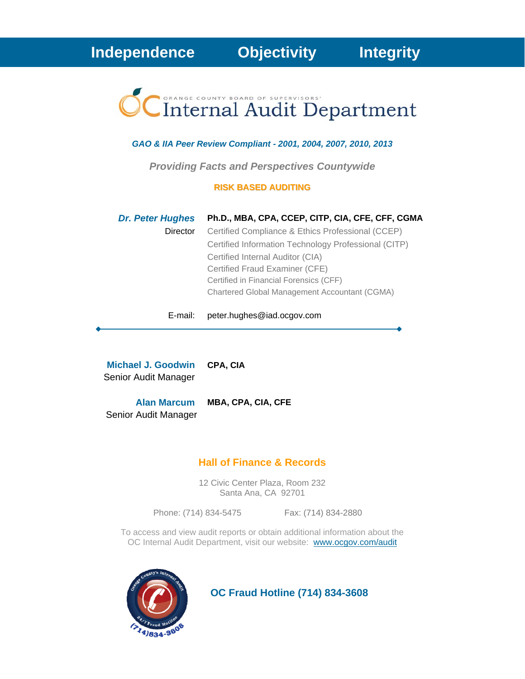

#### *GAO & IIA Peer Review Compliant - 2001, 2004, 2007, 2010, 2013*

*Providing Facts and Perspectives Countywide* 

#### **RISK BASED AUDITING**

| <b>Dr. Peter Hughes</b> | Ph.D., MBA, CPA, CCEP, CITP, CIA, CFE, CFF, CGMA     |
|-------------------------|------------------------------------------------------|
| Director                | Certified Compliance & Ethics Professional (CCEP)    |
|                         | Certified Information Technology Professional (CITP) |
|                         | Certified Internal Auditor (CIA)                     |
|                         | Certified Fraud Examiner (CFE)                       |
|                         | Certified in Financial Forensics (CFF)               |
|                         | Chartered Global Management Accountant (CGMA)        |
|                         |                                                      |

E-mail: peter.hughes@iad.ocgov.com

**Michael J. Goodwin CPA, CIA** Senior Audit Manager

**Alan Marcum MBA, CPA, CIA, CFE** Senior Audit Manager

 $\overline{a}$ 

#### **Hall of Finance & Records**

12 Civic Center Plaza, Room 232 Santa Ana, CA 92701

Phone: (714) 834-5475 Fax: (714) 834-2880

To access and view audit reports or obtain additional information about the OC Internal Audit Department, visit our website: www.ocgov.com/audit



 **OC Fraud Hotline (714) 834-3608**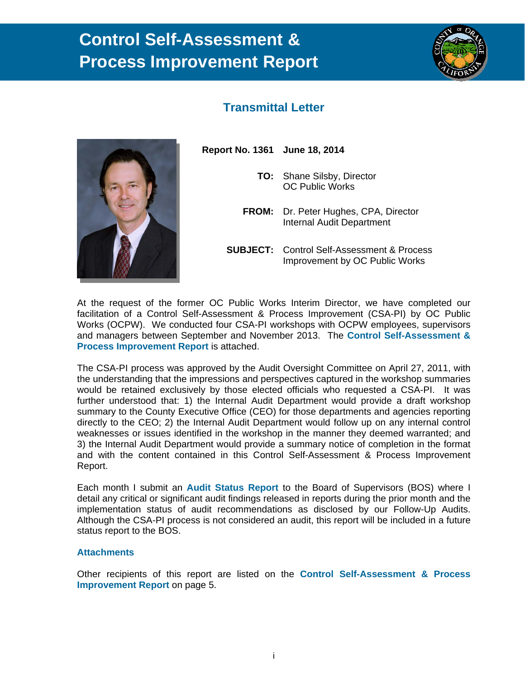

# **Transmittal Letter**



- **Report No. 1361 June 18, 2014 TO:** Shane Silsby, Director OC Public Works **FROM:** Dr. Peter Hughes, CPA, Director Internal Audit Department
	- **SUBJECT:** Control Self-Assessment & Process Improvement by OC Public Works

At the request of the former OC Public Works Interim Director, we have completed our facilitation of a Control Self-Assessment & Process Improvement (CSA-PI) by OC Public Works (OCPW). We conducted four CSA-PI workshops with OCPW employees, supervisors and managers between September and November 2013. The **Control Self-Assessment & Process Improvement Report** is attached.

The CSA-PI process was approved by the Audit Oversight Committee on April 27, 2011, with the understanding that the impressions and perspectives captured in the workshop summaries would be retained exclusively by those elected officials who requested a CSA-PI. It was further understood that: 1) the Internal Audit Department would provide a draft workshop summary to the County Executive Office (CEO) for those departments and agencies reporting directly to the CEO; 2) the Internal Audit Department would follow up on any internal control weaknesses or issues identified in the workshop in the manner they deemed warranted; and 3) the Internal Audit Department would provide a summary notice of completion in the format and with the content contained in this Control Self-Assessment & Process Improvement Report.

Each month I submit an **Audit Status Report** to the Board of Supervisors (BOS) where I detail any critical or significant audit findings released in reports during the prior month and the implementation status of audit recommendations as disclosed by our Follow-Up Audits. Although the CSA-PI process is not considered an audit, this report will be included in a future status report to the BOS.

#### **Attachments**

Other recipients of this report are listed on the **Control Self-Assessment & Process Improvement Report** on page 5.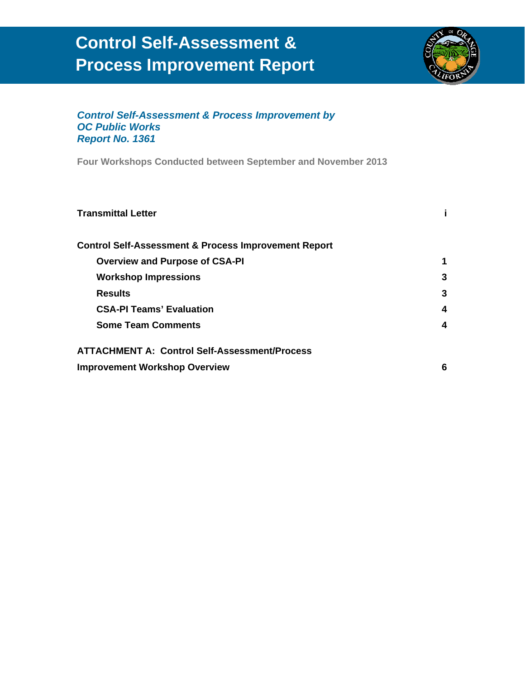

### *Control Self-Assessment & Process Improvement by OC Public Works Report No. 1361*

**Four Workshops Conducted between September and November 2013** 

| <b>Transmittal Letter</b>                                       |   |
|-----------------------------------------------------------------|---|
| <b>Control Self-Assessment &amp; Process Improvement Report</b> |   |
| <b>Overview and Purpose of CSA-PI</b>                           | 1 |
| <b>Workshop Impressions</b>                                     | 3 |
| <b>Results</b>                                                  | 3 |
| <b>CSA-PI Teams' Evaluation</b>                                 | 4 |
| <b>Some Team Comments</b>                                       | 4 |
| <b>ATTACHMENT A: Control Self-Assessment/Process</b>            |   |
| <b>Improvement Workshop Overview</b>                            | 6 |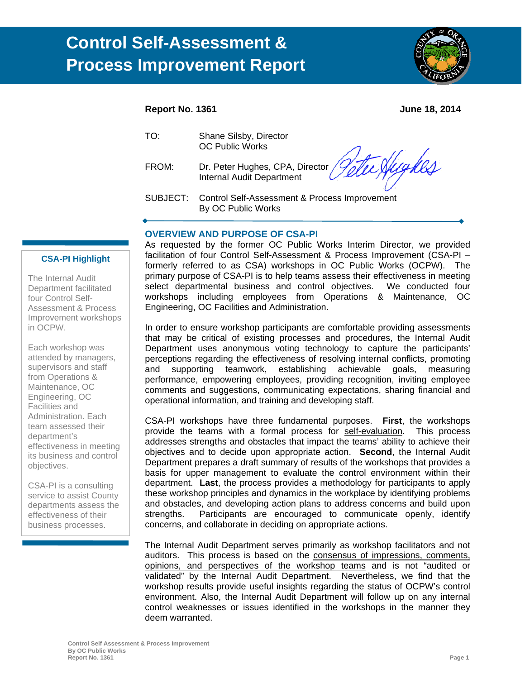

#### **Report No. 1361 June 18, 2014**

- TO: Shane Silsby, Director OC Public Works
- FROM: Dr. Peter Hughes, CPA, Director Internal Audit Department

tee Aughes

SUBJECT: Control Self-Assessment & Process Improvement By OC Public Works

#### **OVERVIEW AND PURPOSE OF CSA-PI**

As requested by the former OC Public Works Interim Director, we provided facilitation of four Control Self-Assessment & Process Improvement (CSA-PI – formerly referred to as CSA) workshops in OC Public Works (OCPW). The primary purpose of CSA-PI is to help teams assess their effectiveness in meeting select departmental business and control objectives. We conducted four workshops including employees from Operations & Maintenance, OC Engineering, OC Facilities and Administration.

In order to ensure workshop participants are comfortable providing assessments that may be critical of existing processes and procedures, the Internal Audit Department uses anonymous voting technology to capture the participants' perceptions regarding the effectiveness of resolving internal conflicts, promoting and supporting teamwork, establishing achievable goals, measuring performance, empowering employees, providing recognition, inviting employee comments and suggestions, communicating expectations, sharing financial and operational information, and training and developing staff.

CSA-PI workshops have three fundamental purposes. **First**, the workshops provide the teams with a formal process for self-evaluation. This process addresses strengths and obstacles that impact the teams' ability to achieve their objectives and to decide upon appropriate action. **Second**, the Internal Audit Department prepares a draft summary of results of the workshops that provides a basis for upper management to evaluate the control environment within their department. **Last**, the process provides a methodology for participants to apply these workshop principles and dynamics in the workplace by identifying problems and obstacles, and developing action plans to address concerns and build upon strengths. Participants are encouraged to communicate openly, identify concerns, and collaborate in deciding on appropriate actions.

The Internal Audit Department serves primarily as workshop facilitators and not auditors. This process is based on the consensus of impressions, comments, opinions, and perspectives of the workshop teams and is not "audited or validated" by the Internal Audit Department. Nevertheless, we find that the workshop results provide useful insights regarding the status of OCPW's control environment. Also, the Internal Audit Department will follow up on any internal control weaknesses or issues identified in the workshops in the manner they deem warranted.

#### **CSA-PI Highlight**

The Internal Audit Department facilitated four Control Self-Assessment & Process Improvement workshops in OCPW.

Each workshop was attended by managers, supervisors and staff from Operations & Maintenance, OC Engineering, OC Facilities and Administration. Each team assessed their department's effectiveness in meeting its business and control objectives.

CSA-PI is a consulting service to assist County departments assess the effectiveness of their business processes.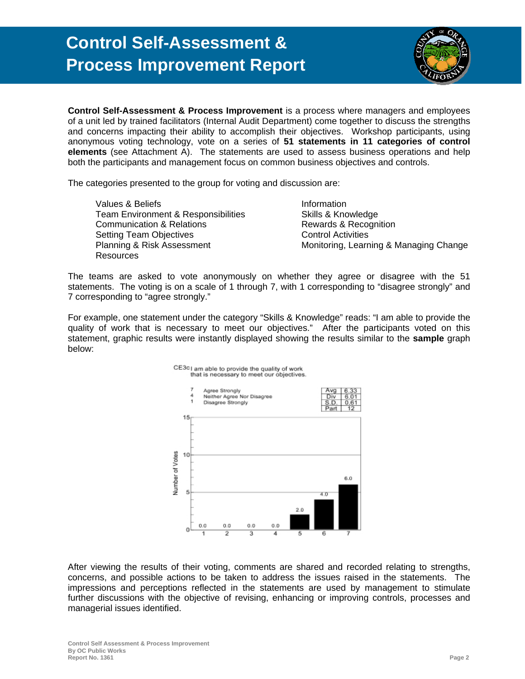

**Control Self-Assessment & Process Improvement** is a process where managers and employees of a unit led by trained facilitators (Internal Audit Department) come together to discuss the strengths and concerns impacting their ability to accomplish their objectives. Workshop participants, using anonymous voting technology, vote on a series of **51 statements in 11 categories of control elements** (see Attachment A). The statements are used to assess business operations and help both the participants and management focus on common business objectives and controls.

The categories presented to the group for voting and discussion are:

Values & Beliefs **Information** Team Environment & Responsibilities Skills & Knowledge Communication & Relations Rewards & Recognition Setting Team Objectives Control Activities **Resources** 

Planning & Risk Assessment Monitoring, Learning & Managing Change

The teams are asked to vote anonymously on whether they agree or disagree with the 51 statements. The voting is on a scale of 1 through 7, with 1 corresponding to "disagree strongly" and 7 corresponding to "agree strongly."

For example, one statement under the category "Skills & Knowledge" reads: "I am able to provide the quality of work that is necessary to meet our objectives." After the participants voted on this statement, graphic results were instantly displayed showing the results similar to the **sample** graph below:



After viewing the results of their voting, comments are shared and recorded relating to strengths, concerns, and possible actions to be taken to address the issues raised in the statements. The impressions and perceptions reflected in the statements are used by management to stimulate further discussions with the objective of revising, enhancing or improving controls, processes and managerial issues identified.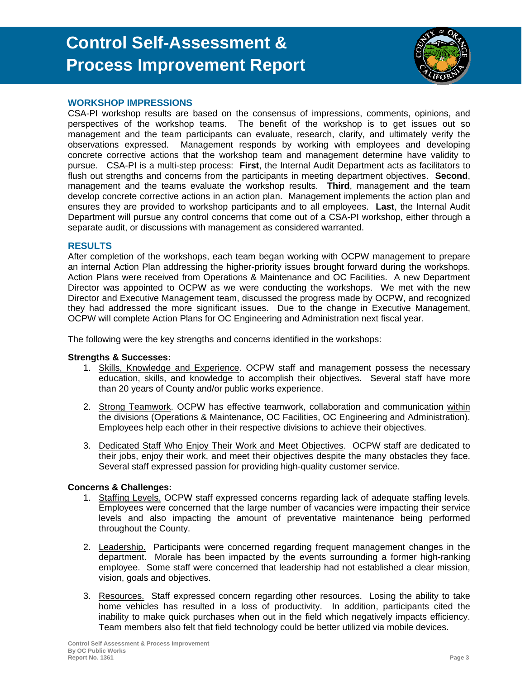

#### **WORKSHOP IMPRESSIONS**

CSA-PI workshop results are based on the consensus of impressions, comments, opinions, and perspectives of the workshop teams. The benefit of the workshop is to get issues out so management and the team participants can evaluate, research, clarify, and ultimately verify the observations expressed. Management responds by working with employees and developing concrete corrective actions that the workshop team and management determine have validity to pursue. CSA-PI is a multi-step process: **First**, the Internal Audit Department acts as facilitators to flush out strengths and concerns from the participants in meeting department objectives. **Second**, management and the teams evaluate the workshop results. **Third**, management and the team develop concrete corrective actions in an action plan. Management implements the action plan and ensures they are provided to workshop participants and to all employees. **Last**, the Internal Audit Department will pursue any control concerns that come out of a CSA-PI workshop, either through a separate audit, or discussions with management as considered warranted.

#### **RESULTS**

After completion of the workshops, each team began working with OCPW management to prepare an internal Action Plan addressing the higher-priority issues brought forward during the workshops. Action Plans were received from Operations & Maintenance and OC Facilities. A new Department Director was appointed to OCPW as we were conducting the workshops. We met with the new Director and Executive Management team, discussed the progress made by OCPW, and recognized they had addressed the more significant issues. Due to the change in Executive Management, OCPW will complete Action Plans for OC Engineering and Administration next fiscal year.

The following were the key strengths and concerns identified in the workshops:

#### **Strengths & Successes:**

- 1. Skills, Knowledge and Experience. OCPW staff and management possess the necessary education, skills, and knowledge to accomplish their objectives. Several staff have more than 20 years of County and/or public works experience.
- 2. Strong Teamwork. OCPW has effective teamwork, collaboration and communication within the divisions (Operations & Maintenance, OC Facilities, OC Engineering and Administration). Employees help each other in their respective divisions to achieve their objectives.
- 3. Dedicated Staff Who Enjoy Their Work and Meet Objectives. OCPW staff are dedicated to their jobs, enjoy their work, and meet their objectives despite the many obstacles they face. Several staff expressed passion for providing high-quality customer service.

#### **Concerns & Challenges:**

- 1. Staffing Levels. OCPW staff expressed concerns regarding lack of adequate staffing levels. Employees were concerned that the large number of vacancies were impacting their service levels and also impacting the amount of preventative maintenance being performed throughout the County.
- 2. Leadership. Participants were concerned regarding frequent management changes in the department. Morale has been impacted by the events surrounding a former high-ranking employee. Some staff were concerned that leadership had not established a clear mission, vision, goals and objectives.
- 3. Resources. Staff expressed concern regarding other resources. Losing the ability to take home vehicles has resulted in a loss of productivity. In addition, participants cited the inability to make quick purchases when out in the field which negatively impacts efficiency. Team members also felt that field technology could be better utilized via mobile devices.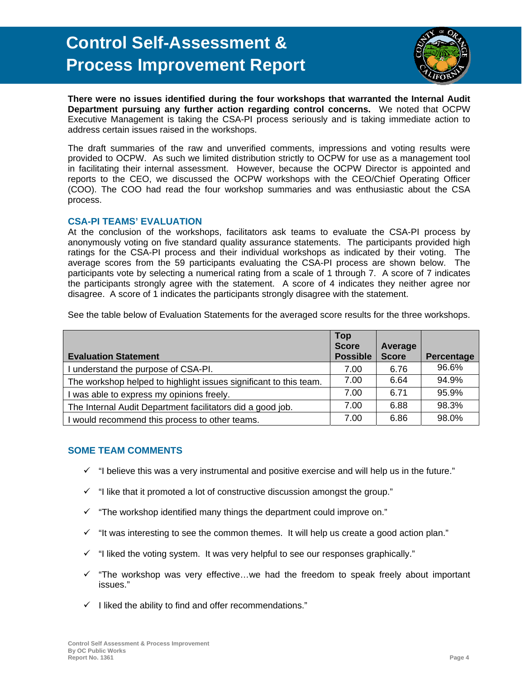

**There were no issues identified during the four workshops that warranted the Internal Audit Department pursuing any further action regarding control concerns.** We noted that OCPW Executive Management is taking the CSA-PI process seriously and is taking immediate action to address certain issues raised in the workshops.

The draft summaries of the raw and unverified comments, impressions and voting results were provided to OCPW. As such we limited distribution strictly to OCPW for use as a management tool in facilitating their internal assessment. However, because the OCPW Director is appointed and reports to the CEO, we discussed the OCPW workshops with the CEO/Chief Operating Officer (COO). The COO had read the four workshop summaries and was enthusiastic about the CSA process.

#### **CSA-PI TEAMS' EVALUATION**

At the conclusion of the workshops, facilitators ask teams to evaluate the CSA-PI process by anonymously voting on five standard quality assurance statements. The participants provided high ratings for the CSA-PI process and their individual workshops as indicated by their voting. The average scores from the 59 participants evaluating the CSA-PI process are shown below. The participants vote by selecting a numerical rating from a scale of 1 through 7. A score of 7 indicates the participants strongly agree with the statement. A score of 4 indicates they neither agree nor disagree. A score of 1 indicates the participants strongly disagree with the statement.

See the table below of Evaluation Statements for the averaged score results for the three workshops.

|                                                                   | <b>Top</b>      |              |            |
|-------------------------------------------------------------------|-----------------|--------------|------------|
|                                                                   | <b>Score</b>    | Average      |            |
| <b>Evaluation Statement</b>                                       | <b>Possible</b> | <b>Score</b> | Percentage |
| I understand the purpose of CSA-PI.                               | 7.00            | 6.76         | 96.6%      |
| The workshop helped to highlight issues significant to this team. | 7.00            | 6.64         | 94.9%      |
| was able to express my opinions freely.                           | 7.00            | 6.71         | 95.9%      |
| The Internal Audit Department facilitators did a good job.        | 7.00            | 6.88         | 98.3%      |
| I would recommend this process to other teams.                    | 7.00            | 6.86         | 98.0%      |

#### **SOME TEAM COMMENTS**

- $\checkmark$  "I believe this was a very instrumental and positive exercise and will help us in the future."
- $\checkmark$  "I like that it promoted a lot of constructive discussion amongst the group."
- $\checkmark$  "The workshop identified many things the department could improve on."
- $\checkmark$  "It was interesting to see the common themes. It will help us create a good action plan."
- $\checkmark$  "I liked the voting system. It was very helpful to see our responses graphically."
- $\checkmark$  "The workshop was very effective...we had the freedom to speak freely about important issues."
- $\checkmark$  I liked the ability to find and offer recommendations."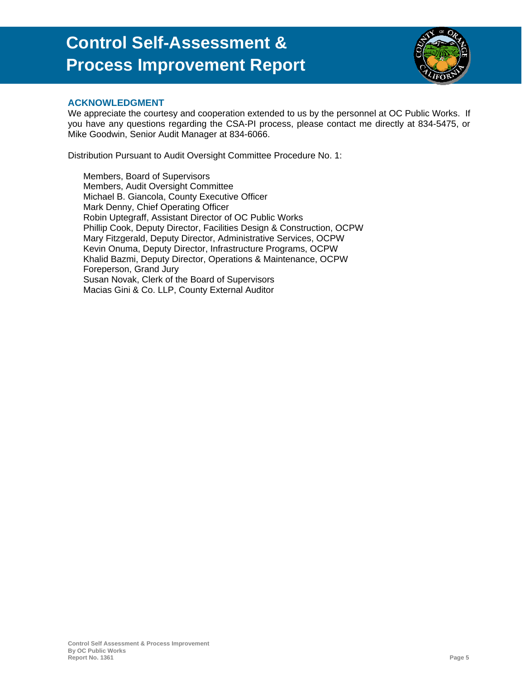

#### **ACKNOWLEDGMENT**

We appreciate the courtesy and cooperation extended to us by the personnel at OC Public Works. If you have any questions regarding the CSA-PI process, please contact me directly at 834-5475, or Mike Goodwin, Senior Audit Manager at 834-6066.

Distribution Pursuant to Audit Oversight Committee Procedure No. 1:

 Members, Board of Supervisors Members, Audit Oversight Committee Michael B. Giancola, County Executive Officer Mark Denny, Chief Operating Officer Robin Uptegraff, Assistant Director of OC Public Works Phillip Cook, Deputy Director, Facilities Design & Construction, OCPW Mary Fitzgerald, Deputy Director, Administrative Services, OCPW Kevin Onuma, Deputy Director, Infrastructure Programs, OCPW Khalid Bazmi, Deputy Director, Operations & Maintenance, OCPW Foreperson, Grand Jury Susan Novak, Clerk of the Board of Supervisors Macias Gini & Co. LLP, County External Auditor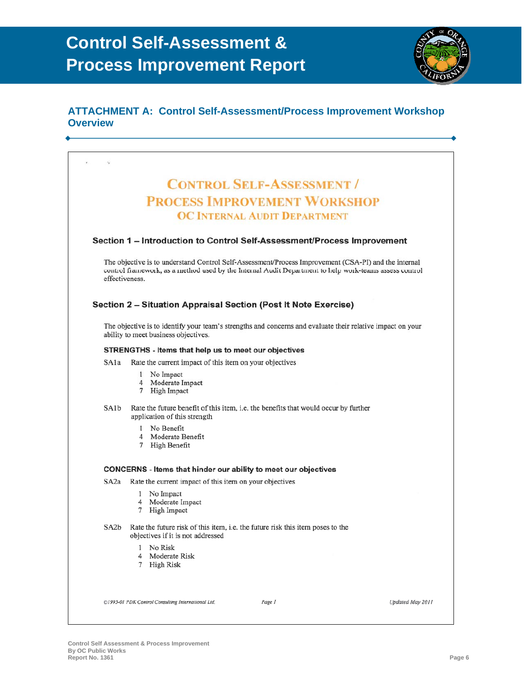

|                | <b>CONTROL SELF-ASSESSMENT /</b>                                                                                                                                                                               |
|----------------|----------------------------------------------------------------------------------------------------------------------------------------------------------------------------------------------------------------|
|                | <b>PROCESS IMPROVEMENT WORKSHOP</b>                                                                                                                                                                            |
|                | <b>OC INTERNAL AUDIT DEPARTMENT</b>                                                                                                                                                                            |
|                | Section 1 - Introduction to Control Self-Assessment/Process Improvement                                                                                                                                        |
| effectiveness. | The objective is to understand Control Self-Assessment/Process Improvement (CSA-PI) and the internal<br>control framework, as a method used by the Internal Audit Department to help work-teams assess control |
|                | Section 2 - Situation Appraisal Section (Post It Note Exercise)                                                                                                                                                |
|                | The objective is to identify your team's strengths and concerns and evaluate their relative impact on your<br>ability to meet business objectives.                                                             |
|                | STRENGTHS - Items that help us to meet our objectives                                                                                                                                                          |
| SAla           | Rate the current impact of this item on your objectives                                                                                                                                                        |
|                | 1 No Impact<br>4 Moderate Impact<br>7 High Impact                                                                                                                                                              |
| SA1b           | Rate the future benefit of this item, i.e. the benefits that would occur by further<br>application of this strength                                                                                            |
|                | 1 No Benefit<br>4 Moderate Benefit<br>7 High Benefit                                                                                                                                                           |
|                | CONCERNS - Items that hinder our ability to meet our objectives                                                                                                                                                |
| SA2a           | Rate the current impact of this item on your objectives<br>1 No Impact<br>4 Moderate Impact<br>7 High Impact                                                                                                   |
| SA2b           | Rate the future risk of this item, i.e. the future risk this item poses to the<br>objectives if it is not addressed                                                                                            |
|                | No Risk<br>1<br>4 Moderate Risk<br>7 High Risk                                                                                                                                                                 |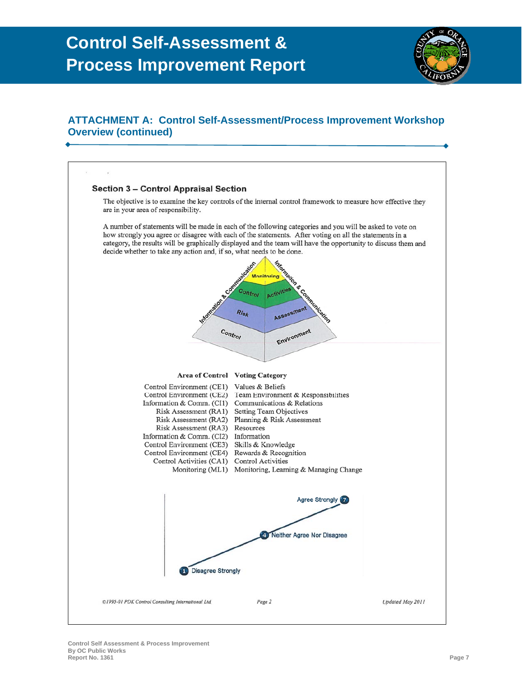

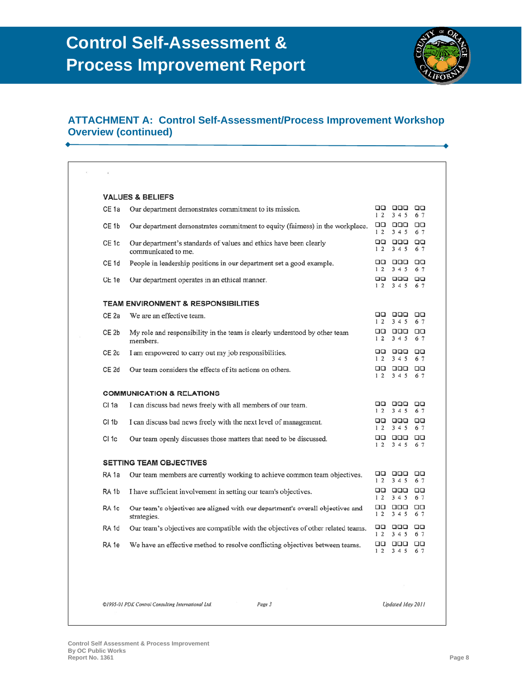

|                  | <b>VALUES &amp; BELIEFS</b>                                                                   |                      |                          |               |
|------------------|-----------------------------------------------------------------------------------------------|----------------------|--------------------------|---------------|
| CE 1a            | Our department demonstrates commitment to its mission.                                        | oo<br>$1\,2$         | 000<br>3 4 5             | oo<br>67      |
| CE <sub>1b</sub> | Our department demonstrates commitment to equity (fairness) in the workplace.                 | oo<br>$1\,2$         | aaa<br>3 4 5             | $\Box$<br>6 7 |
| CE 1c            | Our department's standards of values and ethics have been clearly<br>communicated to me.      | םם<br>$1\,2$         | 000<br>3 4 5             | םם<br>6 7     |
| CE 1d            | People in leadership positions in our department set a good example.                          | oo<br>$1\,2$         | םםם<br>3 4 5             | oo<br>6 7     |
| CE 1e            | Our department operates in an ethical manner.                                                 | $1\,2$               | <u>מם מם</u><br>345 67   | $\Box$        |
|                  | TEAM ENVIRONMENT & RESPONSIBILITIES                                                           |                      |                          |               |
| CE 2a            | We are an effective team.                                                                     | םם<br>$1\,2$         | ם בם<br>3 4 5            | $\Box$<br>67  |
| CE <sub>2b</sub> | My role and responsibility in the team is clearly understood by other team<br>members.        | oo<br>$1\,2$         | םםם<br>3 4 5             | $\Box$<br>6 7 |
| CE <sub>2c</sub> | I am empowered to carry out my job responsibilities.                                          | ᄆᄆ<br>$1\,2$         | ם בם<br>3 4 5            | $\Box$<br>67  |
| CE <sub>2d</sub> | Our team considers the effects of its actions on others.                                      |                      | aa aaa aa<br>12, 345, 67 |               |
|                  | <b>COMMUNICATION &amp; RELATIONS</b>                                                          |                      |                          |               |
| CI <sub>1a</sub> | I can discuss bad news freely with all members of our team.                                   | oo<br>$1\,2$         | ooo<br>3 4 5             | םם<br>6 7     |
| CI <sub>1b</sub> | I can discuss bad news freely with the next level of management.                              | oo<br>$1\,2$         | 000<br>3 4 5             | oo<br>67      |
| CI <sub>1c</sub> | Our team openly discusses those matters that need to be discussed.                            | $1\,2$               | aa aaa<br>3 4 5          | oο<br>6 7     |
|                  | <b>SETTING TEAM OBJECTIVES</b>                                                                |                      |                          |               |
| RA 1a            | Our team members are currently working to achieve common team objectives.                     | םם<br>$1\,2$         | ם בם<br>3 4 5            | oo<br>6 7     |
| RA <sub>1b</sub> | I have sufficient involvement in setting our team's objectives.                               | 99<br>$1\,2$         | םםם<br>3 4 5             | םם<br>6 7     |
| RA 1c            | Our team's objectives are aligned with our department's overall objectives and<br>strategies. | םם<br>$1\,2$         | ם בם<br>3 4 5            | םם<br>67      |
| RA <sub>1d</sub> | Our team's objectives are compatible with the objectives of other related teams.              | ᄆᄆ<br>$1\,2$         | 000<br>3 4 5 6 7         | oo            |
| RA 1e            | We have an effective method to resolve conflicting objectives between teams.                  | ⊔⊔<br>1 <sub>2</sub> | 999<br>3 4 5             | oo<br>6 7     |
|                  |                                                                                               |                      |                          |               |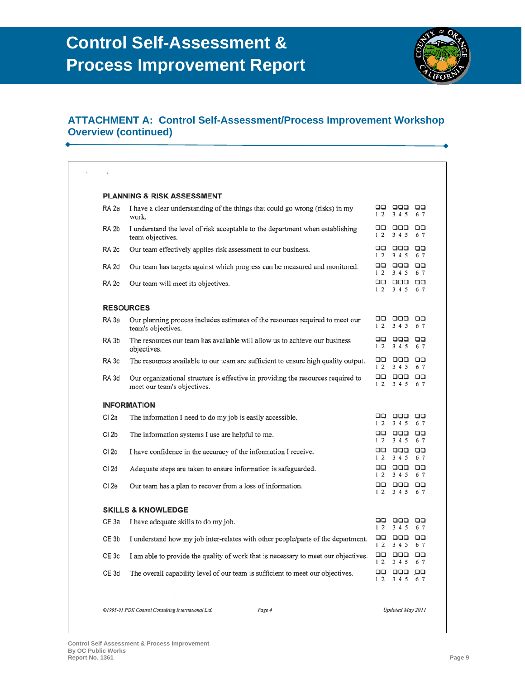

|                  | <b>PLANNING &amp; RISK ASSESSMENT</b>                                                                           |                |                                 |               |
|------------------|-----------------------------------------------------------------------------------------------------------------|----------------|---------------------------------|---------------|
| RA 2a            | I have a clear understanding of the things that could go wrong (risks) in my<br>work.                           | $1\,2$         | aa aaa aa<br>3 4 5 6 7          |               |
| RA 2b            | I understand the level of risk acceptable to the department when establishing<br>team objectives.               | $1\,2$         | םם בם<br>3 4 5 6 7              | oo            |
| RA <sub>2c</sub> | Our team effectively applies risk assessment to our business.                                                   | םם<br>$1\,2$   | 000<br>3 4 5                    | $\Box$<br>6 7 |
| RA 2d            | Our team has targets against which progress can be measured and monitored.                                      | $1\,2$         | ao aoo e<br>3 4 5               | $\Box$<br>67  |
| RA 2e            | Our team will meet its objectives.                                                                              |                | םם סם<br>12, 345, 67            | oo            |
|                  | <b>RESOURCES</b>                                                                                                |                |                                 |               |
| RA 3a            | Our planning process includes estimates of the resources required to meet our<br>team's objectives.             | 1 <sub>2</sub> | םם םם<br>3 4 5                  | oo<br>67      |
| RA 3b            | The resources our team has available will allow us to achieve our business<br>objectives.                       | oo<br>$1\,2$   | םםם<br>3 4 5                    | oo<br>6 7     |
| RA 3c            | The resources available to our team are sufficient to ensure high quality output.                               | oα<br>$1\,2$   | ם בם<br>3 4 5                   | oo<br>67      |
| RA 3d            | Our organizational structure is effective in providing the resources required to<br>meet our team's objectives. |                | <b>00 000 00</b><br>12, 345, 67 |               |
|                  | <b>INFORMATION</b>                                                                                              |                |                                 |               |
| CI 2a            | The information I need to do my job is easily accessible.                                                       | oo<br>$1\,2$   | 000<br>3 4 5 6 7                | uu            |
| Cl <sub>2b</sub> | The information systems I use are helpful to me.                                                                | $1\,2$         | םם <b>ב</b> ם<br>3 4 5 6 7      | oo            |
| CI <sub>2c</sub> | I have confidence in the accuracy of the information I receive.                                                 | $1\,2$         | םםם םם<br>3 4 5                 | oα<br>6 7     |
| CI <sub>2d</sub> | Adequate steps are taken to ensure information is safeguarded.                                                  | $1\,2$         | םם בם<br>3 4 5                  | oo<br>67      |
| CI <sub>2e</sub> | Our team has a plan to recover from a loss of information.                                                      |                | םם <b>ב</b> ם<br>12 345 67      | aa            |
|                  | <b>SKILLS &amp; KNOWLEDGE</b>                                                                                   |                |                                 |               |
| CE 3a            | I have adequate skills to do my job.                                                                            | oo<br>$1\,2$   | ם בם<br>3 4 5 6 7               | oo            |
| CE 3b            | I understand how my job inter-relates with other people/parts of the department.                                | 12             | aa aaa aa<br>3 4 5 6 7          |               |
| CE <sub>3c</sub> | I am able to provide the quality of work that is necessary to meet our objectives.                              | ᇛ<br>12        | םםם<br>345                      | oo<br>67      |
| CE <sub>3d</sub> | The overall capability level of our team is sufficient to meet our objectives.                                  | ᇛ<br>$1\,2$    | ᇛ<br>3 4 5 6 7                  | OΟ            |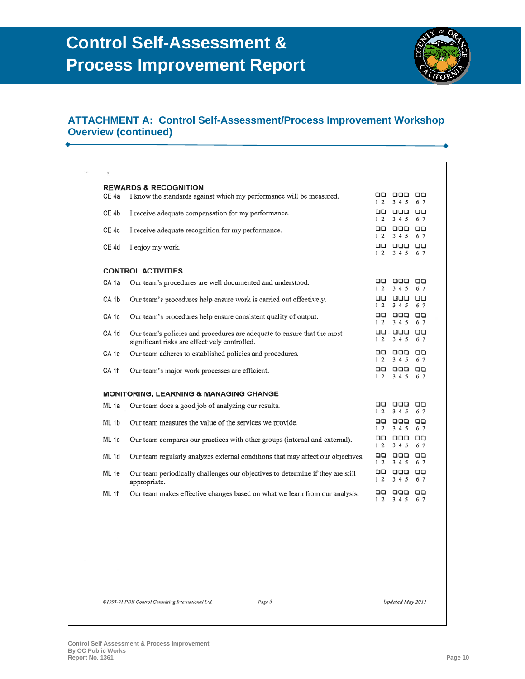

|                  | <b>REWARDS &amp; RECOGNITION</b>                                                                                         | oo                   | 000             | ᄆᄆ               |
|------------------|--------------------------------------------------------------------------------------------------------------------------|----------------------|-----------------|------------------|
| CE 4a            | I know the standards against which my performance will be measured.                                                      | $1\,2$               | 345             | 67               |
| CE 4b            | I receive adequate compensation for my performance.                                                                      | Q۵<br>$1\,2$         | םםם<br>3 4 5    | $\Box\Box$<br>67 |
| CE 4c            | I receive adequate recognition for my performance.                                                                       | םם<br>$1\,2$         | ם בם<br>3 4 5   | $\Box$<br>67     |
| CE 4d            | I enjoy my work.                                                                                                         | םם<br>$1\,2$         | 999<br>3 4 5    | $\Box$<br>6 7    |
|                  | <b>CONTROL ACTIVITIES</b>                                                                                                |                      |                 |                  |
| CA 1a            | Our team's procedures are well documented and understood.                                                                | םם<br>1 <sub>2</sub> | םםם<br>3 4 5    | $\Box$<br>67     |
| CA 1b            | Our team's procedures help ensure work is carried out effectively.                                                       | $\Box$<br>$1\,2$     | םםם<br>3 4 5    | $\Box$<br>67     |
| CA <sub>1c</sub> | Our team's procedures help ensure consistent quality of output.                                                          | םם<br>1 <sub>2</sub> | ם בם<br>345     | $\Box$<br>6 7    |
| CA <sub>1d</sub> | Our team's policies and procedures are adequate to ensure that the most<br>significant risks are effectively controlled. | uu -<br>$1\,2$       | 000<br>3 4 5    | $\Box$<br>67     |
| CA 1e            | Our team adheres to established policies and procedures.                                                                 | םם<br>12             | םםם<br>345      | $\Box$<br>6 7    |
| CA 1f            | Our team's major work processes are efficient.                                                                           | םם<br>$1\,2$         | 000<br>3 4 5    | $\Box$<br>6 7    |
|                  | <b>MONITORING, LEARNING &amp; MANAGING CHANGE</b>                                                                        |                      |                 |                  |
| ML 1a            | Our team does a good job of analyzing our results.                                                                       | uu<br>$1\,2$         | 999<br>3 4 5    | ᇛ<br>67          |
| ML 1b            | Our team measures the value of the services we provide.                                                                  | ᇛ<br>12              | םםם<br>345      | $\Box$<br>6 7    |
| ML 1c            | Our team compares our practices with other groups (internal and external).                                               | oo<br>12             | םםם<br>3 4 5    | $\Box$<br>67     |
| ML 1d            | Our team regularly analyzes external conditions that may affect our objectives.                                          | םם<br>1 <sub>2</sub> | םםם<br>345      | $\Box$<br>6 7    |
| ML 1e            | Our team periodically challenges our objectives to determine if they are still<br>appropriate.                           | םם<br>12             | ם בם<br>3 4 5   | $\Box$<br>67     |
| ML 1f            | Our team makes effective changes based on what we learn from our analysis.                                               | oo<br>$1\,2$         | $\Box$<br>3 4 5 | $\Box$<br>6 7    |
|                  |                                                                                                                          |                      |                 |                  |
|                  |                                                                                                                          |                      |                 |                  |
|                  |                                                                                                                          |                      |                 |                  |
|                  |                                                                                                                          |                      |                 |                  |
|                  |                                                                                                                          |                      |                 |                  |